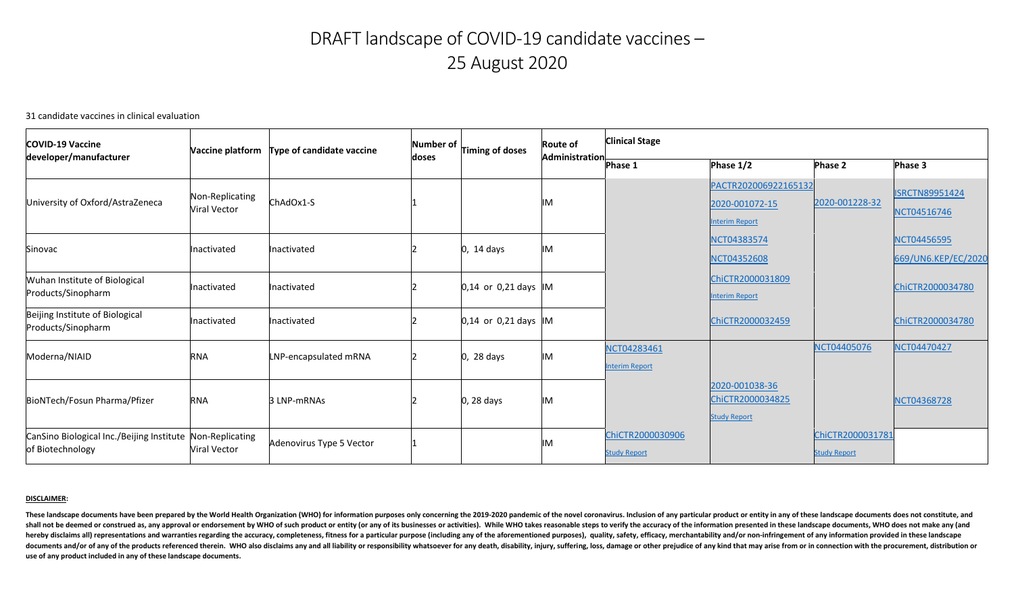These landscape documents have been prepared by the World Health Organization (WHO) for information purposes only concerning the 2019-2020 pandemic of the novel coronavirus. Inclusion of any particular product or entity in shall not be deemed or construed as, any approval or endorsement by WHO of such product or entity (or any of its businesses or activities). While WHO takes reasonable steps to verify the accuracy of the information present hereby disclaims all) representations and warranties regarding the accuracy, completeness, fitness for a particular purpose (including any of the aforementioned purposes), quality, safety, efficacy, merchantability and/or documents and/or of any of the products referenced therein. WHO also disclaims any and all liability or responsibility whatsoever for any death, disability, injury, suffering, loss, damage or other prejudice of any kind th **use of any product included in any of these landscape documents.** 

# DRAFT landscape of COVID-19 candidate vaccines – 25 August 2020

31 candidate vaccines in clinical evaluation

| <b>COVID-19 Vaccine</b>                                                       | Vaccine platform                | <b>Type of candidate vaccine</b> | Number of L<br>Timing of doses<br>doses | <b>Route of</b>          | <b>Clinical Stage</b> |                                         |                                                                 |                                         |                                      |
|-------------------------------------------------------------------------------|---------------------------------|----------------------------------|-----------------------------------------|--------------------------|-----------------------|-----------------------------------------|-----------------------------------------------------------------|-----------------------------------------|--------------------------------------|
| developer/manufacturer                                                        |                                 |                                  |                                         |                          | <b>Administration</b> | <b>Phase 1</b>                          | Phase $1/2$                                                     | <b>Phase 2</b>                          | Phase 3                              |
| University of Oxford/AstraZeneca                                              | Non-Replicating<br>Viral Vector | $ChAdOx1-S$                      |                                         |                          | IM                    |                                         | PACTR202006922165132<br>2020-001072-15<br><b>Interim Report</b> | 2020-001228-32                          | <b>ISRCTN89951424</b><br>NCT04516746 |
| Sinovac                                                                       | Inactivated                     | Inactivated                      |                                         | $\vert 0, 14 \vert$ days | <b>IM</b>             |                                         | NCT04383574<br><b>NCT04352608</b>                               |                                         | NCT04456595<br>669/UN6.KEP/EC/2020   |
| Wuhan Institute of Biological<br>Products/Sinopharm                           | Inactivated                     | Inactivated                      |                                         | $0,14$ or 0,21 days $ M$ |                       |                                         | ChiCTR2000031809<br><b>Interim Report</b>                       |                                         | ChiCTR2000034780                     |
| Beijing Institute of Biological<br>Products/Sinopharm                         | Inactivated                     | Inactivated                      |                                         | $0,14$ or 0,21 days $ M$ |                       |                                         | ChiCTR2000032459                                                |                                         | ChiCTR2000034780                     |
| Moderna/NIAID                                                                 | <b>RNA</b>                      | LNP-encapsulated mRNA            |                                         | $0, 28$ days             | IM                    | NCT04283461<br><b>Interim Report</b>    |                                                                 | NCT04405076                             | NCT04470427                          |
| BioNTech/Fosun Pharma/Pfizer                                                  | <b>RNA</b>                      | 3 LNP-mRNAs                      |                                         | $0, 28$ days             | <b>IM</b>             |                                         | 2020-001038-36<br>ChiCTR2000034825<br><b>Study Report</b>       |                                         | <b>NCT04368728</b>                   |
| CanSino Biological Inc./Beijing Institute Non-Replicating<br>of Biotechnology | <b>Viral Vector</b>             | Adenovirus Type 5 Vector         |                                         |                          | IM                    | ChiCTR2000030906<br><b>Study Report</b> |                                                                 | ChiCTR2000031781<br><b>Study Report</b> |                                      |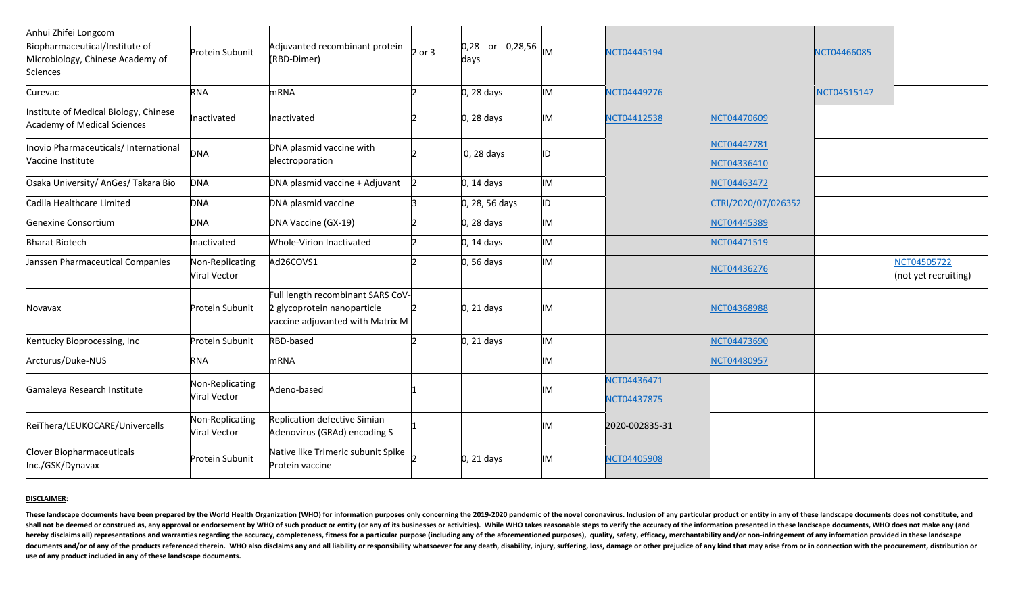| Anhui Zhifei Longcom<br>Biopharmaceutical/Institute of<br>Microbiology, Chinese Academy of<br>Sciences | Protein Subunit                 | Adjuvanted recombinant protein<br>(RBD-Dimer)                                                        | $2$ or 3 | 0,28 <br>or $0,28,56$ MM<br>days |           | NCT04445194                |                            | NCT04466085 |                                     |
|--------------------------------------------------------------------------------------------------------|---------------------------------|------------------------------------------------------------------------------------------------------|----------|----------------------------------|-----------|----------------------------|----------------------------|-------------|-------------------------------------|
| <b>Curevac</b>                                                                                         | <b>RNA</b>                      | mRNA                                                                                                 |          | $ 0, 28$ days                    | <b>IM</b> | NCT04449276                |                            | NCT04515147 |                                     |
| Institute of Medical Biology, Chinese<br><b>Academy of Medical Sciences</b>                            | Inactivated                     | Inactivated                                                                                          |          | $0, 28$ days                     | IM        | NCT04412538                | NCT04470609                |             |                                     |
| Inovio Pharmaceuticals/International<br>Vaccine Institute                                              | <b>DNA</b>                      | DNA plasmid vaccine with<br>electroporation                                                          |          | 0, 28 days                       | ID        |                            | NCT04447781<br>NCT04336410 |             |                                     |
| Osaka University/ AnGes/ Takara Bio                                                                    | <b>DNA</b>                      | DNA plasmid vaccine + Adjuvant                                                                       |          | $0, 14$ days                     | <b>IM</b> |                            | NCT04463472                |             |                                     |
| Cadila Healthcare Limited                                                                              | <b>DNA</b>                      | DNA plasmid vaccine                                                                                  |          | 0, 28, 56 days                   | ID        |                            | CTRI/2020/07/026352        |             |                                     |
| Genexine Consortium                                                                                    | <b>DNA</b>                      | DNA Vaccine (GX-19)                                                                                  |          | 0, 28 days                       | <b>IM</b> |                            | NCT04445389                |             |                                     |
| <b>Bharat Biotech</b>                                                                                  | Inactivated                     | <b>Whole-Virion Inactivated</b>                                                                      |          | $ 0, 14$ days                    | <b>IM</b> |                            | NCT04471519                |             |                                     |
| Janssen Pharmaceutical Companies                                                                       | Non-Replicating<br>Viral Vector | Ad26COVS1                                                                                            |          | $0, 56$ days                     | <b>IM</b> |                            | NCT04436276                |             | NCT04505722<br>(not yet recruiting) |
| Novavax                                                                                                | <b>Protein Subunit</b>          | Full length recombinant SARS CoV-<br>2 glycoprotein nanoparticle<br>vaccine adjuvanted with Matrix M |          | $0, 21$ days                     | IM        |                            | NCT04368988                |             |                                     |
| Kentucky Bioprocessing, Inc                                                                            | Protein Subunit                 | RBD-based                                                                                            |          | $0, 21$ days                     | <b>IM</b> |                            | NCT04473690                |             |                                     |
| Arcturus/Duke-NUS                                                                                      | <b>RNA</b>                      | mRNA                                                                                                 |          |                                  | <b>IM</b> |                            | NCT04480957                |             |                                     |
| Gamaleya Research Institute                                                                            | Non-Replicating<br>Viral Vector | Adeno-based                                                                                          |          |                                  | IM        | NCT04436471<br>NCT04437875 |                            |             |                                     |
| ReiThera/LEUKOCARE/Univercells                                                                         | Non-Replicating<br>Viral Vector | Replication defective Simian<br>Adenovirus (GRAd) encoding S                                         |          |                                  | <b>IM</b> | 2020-002835-31             |                            |             |                                     |
| Clover Biopharmaceuticals<br>Inc./GSK/Dynavax                                                          | Protein Subunit                 | Native like Trimeric subunit Spike<br>Protein vaccine                                                |          | $0, 21$ days                     | IM        | NCT04405908                |                            |             |                                     |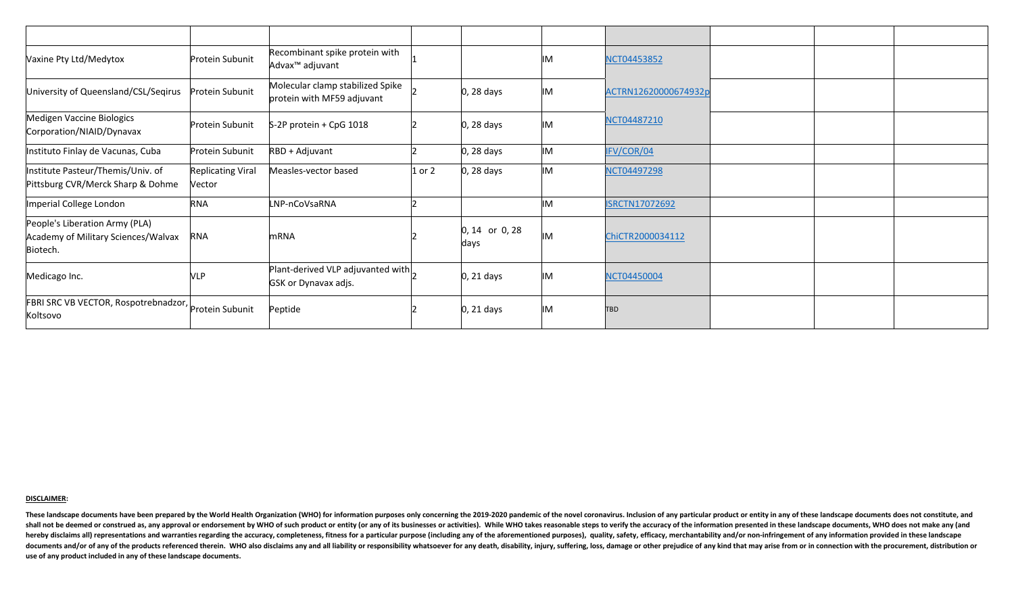| Vaxine Pty Ltd/Medytox                                                            | Protein Subunit                    | Recombinant spike protein with<br>Advax <sup>™</sup> adjuvant    |          |                           | IM        | <b>NCT04453852</b>    |  |
|-----------------------------------------------------------------------------------|------------------------------------|------------------------------------------------------------------|----------|---------------------------|-----------|-----------------------|--|
| University of Queensland/CSL/Seqirus                                              | Protein Subunit                    | Molecular clamp stabilized Spike<br>protein with MF59 adjuvant   |          | $0, 28$ days              | IM        | ACTRN12620000674932p  |  |
| Medigen Vaccine Biologics<br>Corporation/NIAID/Dynavax                            | Protein Subunit                    | $S-2P$ protein + CpG 1018                                        |          | 0, 28 days                | IM        | NCT04487210           |  |
| Instituto Finlay de Vacunas, Cuba                                                 | Protein Subunit                    | $RBD + Adjuvant$                                                 |          | $0, 28$ days              | IM        | IFV/COR/04            |  |
| Institute Pasteur/Themis/Univ. of<br>Pittsburg CVR/Merck Sharp & Dohme            | <b>Replicating Viral</b><br>Vector | Measles-vector based                                             | $1$ or 2 | $0, 28$ days              | <b>IM</b> | NCT04497298           |  |
| Imperial College London                                                           | <b>RNA</b>                         | LNP-nCoVsaRNA                                                    |          |                           | <b>IM</b> | <b>ISRCTN17072692</b> |  |
| People's Liberation Army (PLA)<br>Academy of Military Sciences/Walvax<br>Biotech. | <b>RNA</b>                         | <b>mRNA</b>                                                      |          | $ 0, 14$ or 0, 28<br>days | IM        | ChiCTR2000034112      |  |
| Medicago Inc.                                                                     | <b>VLP</b>                         | Plant-derived VLP adjuvanted with<br><b>GSK or Dynavax adjs.</b> |          | $0, 21$ days              | IM        | NCT04450004           |  |
| FBRI SRC VB VECTOR, Rospotrebnadzor, Protein Subunit<br>Koltsovo                  |                                    | Peptide                                                          |          | $0, 21$ days              | IM        | <b>TBD</b>            |  |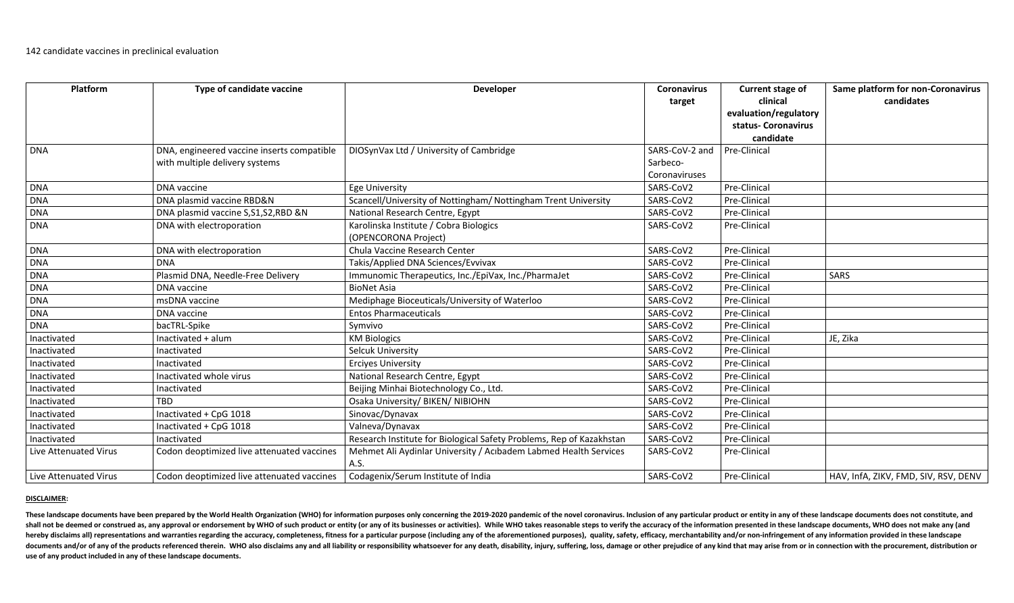| Platform              | <b>Type of candidate vaccine</b>           | <b>Developer</b>                                                         | <b>Coronavirus</b> | Current stage of                 | Same platform for non-Coronavirus    |
|-----------------------|--------------------------------------------|--------------------------------------------------------------------------|--------------------|----------------------------------|--------------------------------------|
|                       |                                            |                                                                          | target             | clinical                         | candidates                           |
|                       |                                            |                                                                          |                    | evaluation/regulatory            |                                      |
|                       |                                            |                                                                          |                    | status- Coronavirus<br>candidate |                                      |
| <b>DNA</b>            | DNA, engineered vaccine inserts compatible | DIOSynVax Ltd / University of Cambridge                                  | SARS-CoV-2 and     | Pre-Clinical                     |                                      |
|                       | with multiple delivery systems             |                                                                          | Sarbeco-           |                                  |                                      |
|                       |                                            |                                                                          | Coronaviruses      |                                  |                                      |
| <b>DNA</b>            | <b>DNA</b> vaccine                         | <b>Ege University</b>                                                    | SARS-CoV2          | Pre-Clinical                     |                                      |
| <b>DNA</b>            | DNA plasmid vaccine RBD&N                  | Scancell/University of Nottingham/ Nottingham Trent University           | SARS-CoV2          | Pre-Clinical                     |                                      |
| <b>DNA</b>            | DNA plasmid vaccine S, S1, S2, RBD & N     | National Research Centre, Egypt                                          | SARS-CoV2          | Pre-Clinical                     |                                      |
| <b>DNA</b>            | DNA with electroporation                   | Karolinska Institute / Cobra Biologics<br>(OPENCORONA Project)           | SARS-CoV2          | <b>Pre-Clinical</b>              |                                      |
| <b>DNA</b>            | DNA with electroporation                   | Chula Vaccine Research Center                                            | SARS-CoV2          | Pre-Clinical                     |                                      |
| <b>DNA</b>            | <b>DNA</b>                                 | Takis/Applied DNA Sciences/Evvivax                                       | SARS-CoV2          | Pre-Clinical                     |                                      |
| <b>DNA</b>            | Plasmid DNA, Needle-Free Delivery          | Immunomic Therapeutics, Inc./EpiVax, Inc./PharmaJet                      | SARS-CoV2          | <b>Pre-Clinical</b>              | <b>SARS</b>                          |
| <b>DNA</b>            | DNA vaccine                                | <b>BioNet Asia</b>                                                       | SARS-CoV2          | Pre-Clinical                     |                                      |
| <b>DNA</b>            | msDNA vaccine                              | Mediphage Bioceuticals/University of Waterloo                            | SARS-CoV2          | Pre-Clinical                     |                                      |
| <b>DNA</b>            | <b>DNA</b> vaccine                         | <b>Entos Pharmaceuticals</b>                                             | SARS-CoV2          | Pre-Clinical                     |                                      |
| <b>DNA</b>            | bacTRL-Spike                               | Symvivo                                                                  | SARS-CoV2          | Pre-Clinical                     |                                      |
| Inactivated           | Inactivated + alum                         | <b>KM Biologics</b>                                                      | SARS-CoV2          | Pre-Clinical                     | JE, Zika                             |
| Inactivated           | Inactivated                                | <b>Selcuk University</b>                                                 | SARS-CoV2          | Pre-Clinical                     |                                      |
| Inactivated           | Inactivated                                | <b>Erciyes University</b>                                                | SARS-CoV2          | Pre-Clinical                     |                                      |
| Inactivated           | Inactivated whole virus                    | National Research Centre, Egypt                                          | SARS-CoV2          | Pre-Clinical                     |                                      |
| Inactivated           | Inactivated                                | Beijing Minhai Biotechnology Co., Ltd.                                   | SARS-CoV2          | Pre-Clinical                     |                                      |
| Inactivated           | TBD                                        | Osaka University/ BIKEN/ NIBIOHN                                         | SARS-CoV2          | Pre-Clinical                     |                                      |
| Inactivated           | Inactivated + CpG 1018                     | Sinovac/Dynavax                                                          | SARS-CoV2          | Pre-Clinical                     |                                      |
| Inactivated           | Inactivated + CpG 1018                     | Valneva/Dynavax                                                          | SARS-CoV2          | Pre-Clinical                     |                                      |
| Inactivated           | Inactivated                                | Research Institute for Biological Safety Problems, Rep of Kazakhstan     | SARS-CoV2          | Pre-Clinical                     |                                      |
| Live Attenuated Virus | Codon deoptimized live attenuated vaccines | Mehmet Ali Aydinlar University / Acibadem Labmed Health Services<br>A.S. | SARS-CoV2          | Pre-Clinical                     |                                      |
| Live Attenuated Virus | Codon deoptimized live attenuated vaccines | Codagenix/Serum Institute of India                                       | SARS-CoV2          | Pre-Clinical                     | HAV, InfA, ZIKV, FMD, SIV, RSV, DENV |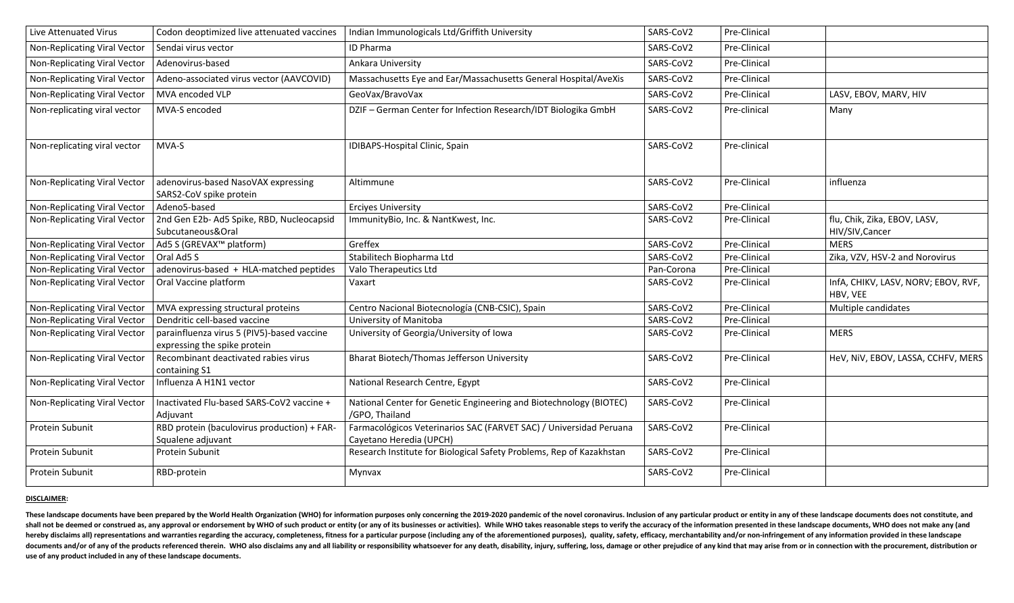| Live Attenuated Virus               | Codon deoptimized live attenuated vaccines                                 | Indian Immunologicals Ltd/Griffith University                                                 | SARS-CoV2  | Pre-Clinical |                                                 |
|-------------------------------------|----------------------------------------------------------------------------|-----------------------------------------------------------------------------------------------|------------|--------------|-------------------------------------------------|
| Non-Replicating Viral Vector        | Sendai virus vector                                                        | <b>ID Pharma</b>                                                                              | SARS-CoV2  | Pre-Clinical |                                                 |
| Non-Replicating Viral Vector        | Adenovirus-based                                                           | Ankara University                                                                             | SARS-CoV2  | Pre-Clinical |                                                 |
| Non-Replicating Viral Vector        | Adeno-associated virus vector (AAVCOVID)                                   | Massachusetts Eye and Ear/Massachusetts General Hospital/AveXis                               | SARS-CoV2  | Pre-Clinical |                                                 |
| <b>Non-Replicating Viral Vector</b> | MVA encoded VLP                                                            | GeoVax/BravoVax                                                                               | SARS-CoV2  | Pre-Clinical | LASV, EBOV, MARV, HIV                           |
| Non-replicating viral vector        | MVA-S encoded                                                              | DZIF - German Center for Infection Research/IDT Biologika GmbH                                | SARS-CoV2  | Pre-clinical | Many                                            |
| Non-replicating viral vector        | MVA-S                                                                      | IDIBAPS-Hospital Clinic, Spain                                                                | SARS-CoV2  | Pre-clinical |                                                 |
| Non-Replicating Viral Vector        | adenovirus-based NasoVAX expressing<br>SARS2-CoV spike protein             | Altimmune                                                                                     | SARS-CoV2  | Pre-Clinical | influenza                                       |
| Non-Replicating Viral Vector        | Adeno5-based                                                               | <b>Erciyes University</b>                                                                     | SARS-CoV2  | Pre-Clinical |                                                 |
| Non-Replicating Viral Vector        | 2nd Gen E2b- Ad5 Spike, RBD, Nucleocapsid<br>Subcutaneous&Oral             | ImmunityBio, Inc. & NantKwest, Inc.                                                           | SARS-CoV2  | Pre-Clinical | flu, Chik, Zika, EBOV, LASV,<br>HIV/SIV, Cancer |
| Non-Replicating Viral Vector        | Ad5 S (GREVAX <sup>™</sup> platform)                                       | Greffex                                                                                       | SARS-CoV2  | Pre-Clinical | <b>MERS</b>                                     |
| <b>Non-Replicating Viral Vector</b> | Oral Ad5 S                                                                 | Stabilitech Biopharma Ltd                                                                     | SARS-CoV2  | Pre-Clinical | Zika, VZV, HSV-2 and Norovirus                  |
| Non-Replicating Viral Vector        | adenovirus-based + HLA-matched peptides                                    | Valo Therapeutics Ltd                                                                         | Pan-Corona | Pre-Clinical |                                                 |
| Non-Replicating Viral Vector        | Oral Vaccine platform                                                      | Vaxart                                                                                        | SARS-CoV2  | Pre-Clinical | InfA, CHIKV, LASV, NORV; EBOV, RVF,<br>HBV, VEE |
| Non-Replicating Viral Vector        | MVA expressing structural proteins                                         | Centro Nacional Biotecnología (CNB-CSIC), Spain                                               | SARS-CoV2  | Pre-Clinical | Multiple candidates                             |
| Non-Replicating Viral Vector        | Dendritic cell-based vaccine                                               | University of Manitoba                                                                        | SARS-CoV2  | Pre-Clinical |                                                 |
| Non-Replicating Viral Vector        | parainfluenza virus 5 (PIV5)-based vaccine<br>expressing the spike protein | University of Georgia/University of Iowa                                                      | SARS-CoV2  | Pre-Clinical | <b>MERS</b>                                     |
| Non-Replicating Viral Vector        | Recombinant deactivated rabies virus<br>containing S1                      | <b>Bharat Biotech/Thomas Jefferson University</b>                                             | SARS-CoV2  | Pre-Clinical | HeV, NIV, EBOV, LASSA, CCHFV, MERS              |
| Non-Replicating Viral Vector        | Influenza A H1N1 vector                                                    | National Research Centre, Egypt                                                               | SARS-CoV2  | Pre-Clinical |                                                 |
| <b>Non-Replicating Viral Vector</b> | Inactivated Flu-based SARS-CoV2 vaccine +<br>Adjuvant                      | National Center for Genetic Engineering and Biotechnology (BIOTEC)<br>/GPO, Thailand          | SARS-CoV2  | Pre-Clinical |                                                 |
| Protein Subunit                     | RBD protein (baculovirus production) + FAR-<br>Squalene adjuvant           | Farmacológicos Veterinarios SAC (FARVET SAC) / Universidad Peruana<br>Cayetano Heredia (UPCH) | SARS-CoV2  | Pre-Clinical |                                                 |
| Protein Subunit                     | Protein Subunit                                                            | Research Institute for Biological Safety Problems, Rep of Kazakhstan                          | SARS-CoV2  | Pre-Clinical |                                                 |
| Protein Subunit                     | RBD-protein                                                                | Mynvax                                                                                        | SARS-CoV2  | Pre-Clinical |                                                 |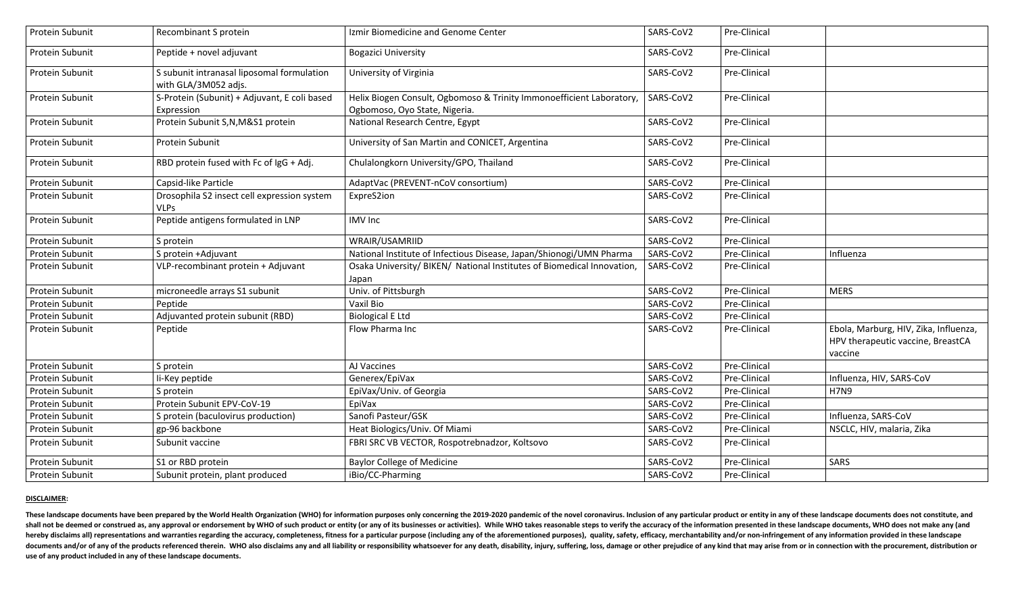| Protein Subunit        | Recombinant S protein                                              | Izmir Biomedicine and Genome Center                                                                   | SARS-CoV2 | Pre-Clinical |                                                                                       |
|------------------------|--------------------------------------------------------------------|-------------------------------------------------------------------------------------------------------|-----------|--------------|---------------------------------------------------------------------------------------|
| <b>Protein Subunit</b> | Peptide + novel adjuvant                                           | <b>Bogazici University</b>                                                                            | SARS-CoV2 | Pre-Clinical |                                                                                       |
| Protein Subunit        | S subunit intranasal liposomal formulation<br>with GLA/3M052 adjs. | University of Virginia                                                                                | SARS-CoV2 | Pre-Clinical |                                                                                       |
| Protein Subunit        | S-Protein (Subunit) + Adjuvant, E coli based<br>Expression         | Helix Biogen Consult, Ogbomoso & Trinity Immonoefficient Laboratory,<br>Ogbomoso, Oyo State, Nigeria. | SARS-CoV2 | Pre-Clinical |                                                                                       |
| <b>Protein Subunit</b> | Protein Subunit S,N,M&S1 protein                                   | National Research Centre, Egypt                                                                       | SARS-CoV2 | Pre-Clinical |                                                                                       |
| <b>Protein Subunit</b> | Protein Subunit                                                    | University of San Martin and CONICET, Argentina                                                       | SARS-CoV2 | Pre-Clinical |                                                                                       |
| <b>Protein Subunit</b> | RBD protein fused with Fc of IgG + Adj.                            | Chulalongkorn University/GPO, Thailand                                                                | SARS-CoV2 | Pre-Clinical |                                                                                       |
| Protein Subunit        | Capsid-like Particle                                               | AdaptVac (PREVENT-nCoV consortium)                                                                    | SARS-CoV2 | Pre-Clinical |                                                                                       |
| Protein Subunit        | Drosophila S2 insect cell expression system<br><b>VLPs</b>         | ExpreS2ion                                                                                            | SARS-CoV2 | Pre-Clinical |                                                                                       |
| Protein Subunit        | Peptide antigens formulated in LNP                                 | <b>IMV</b> Inc                                                                                        | SARS-CoV2 | Pre-Clinical |                                                                                       |
| <b>Protein Subunit</b> | S protein                                                          | WRAIR/USAMRIID                                                                                        | SARS-CoV2 | Pre-Clinical |                                                                                       |
| Protein Subunit        | S protein +Adjuvant                                                | National Institute of Infectious Disease, Japan/Shionogi/UMN Pharma                                   | SARS-CoV2 | Pre-Clinical | Influenza                                                                             |
| <b>Protein Subunit</b> | VLP-recombinant protein + Adjuvant                                 | Osaka University/ BIKEN/ National Institutes of Biomedical Innovation,<br>Japan                       | SARS-CoV2 | Pre-Clinical |                                                                                       |
| <b>Protein Subunit</b> | microneedle arrays S1 subunit                                      | Univ. of Pittsburgh                                                                                   | SARS-CoV2 | Pre-Clinical | <b>MERS</b>                                                                           |
| <b>Protein Subunit</b> | Peptide                                                            | Vaxil Bio                                                                                             | SARS-CoV2 | Pre-Clinical |                                                                                       |
| Protein Subunit        | Adjuvanted protein subunit (RBD)                                   | <b>Biological E Ltd</b>                                                                               | SARS-CoV2 | Pre-Clinical |                                                                                       |
| Protein Subunit        | Peptide                                                            | Flow Pharma Inc                                                                                       | SARS-CoV2 | Pre-Clinical | Ebola, Marburg, HIV, Zika, Influenza,<br>HPV therapeutic vaccine, BreastCA<br>vaccine |
| <b>Protein Subunit</b> | S protein                                                          | AJ Vaccines                                                                                           | SARS-CoV2 | Pre-Clinical |                                                                                       |
| Protein Subunit        | i-Key peptide                                                      | Generex/EpiVax                                                                                        | SARS-CoV2 | Pre-Clinical | Influenza, HIV, SARS-CoV                                                              |
| <b>Protein Subunit</b> | S protein                                                          | EpiVax/Univ. of Georgia                                                                               | SARS-CoV2 | Pre-Clinical | <b>H7N9</b>                                                                           |
| <b>Protein Subunit</b> | Protein Subunit EPV-CoV-19                                         | EpiVax                                                                                                | SARS-CoV2 | Pre-Clinical |                                                                                       |
| Protein Subunit        | S protein (baculovirus production)                                 | Sanofi Pasteur/GSK                                                                                    | SARS-CoV2 | Pre-Clinical | Influenza, SARS-CoV                                                                   |
| Protein Subunit        | gp-96 backbone                                                     | Heat Biologics/Univ. Of Miami                                                                         | SARS-CoV2 | Pre-Clinical | NSCLC, HIV, malaria, Zika                                                             |
| Protein Subunit        | Subunit vaccine                                                    | FBRI SRC VB VECTOR, Rospotrebnadzor, Koltsovo                                                         | SARS-CoV2 | Pre-Clinical |                                                                                       |
| Protein Subunit        | S1 or RBD protein                                                  | <b>Baylor College of Medicine</b>                                                                     | SARS-CoV2 | Pre-Clinical | SARS                                                                                  |
| Protein Subunit        | Subunit protein, plant produced                                    | iBio/CC-Pharming                                                                                      | SARS-CoV2 | Pre-Clinical |                                                                                       |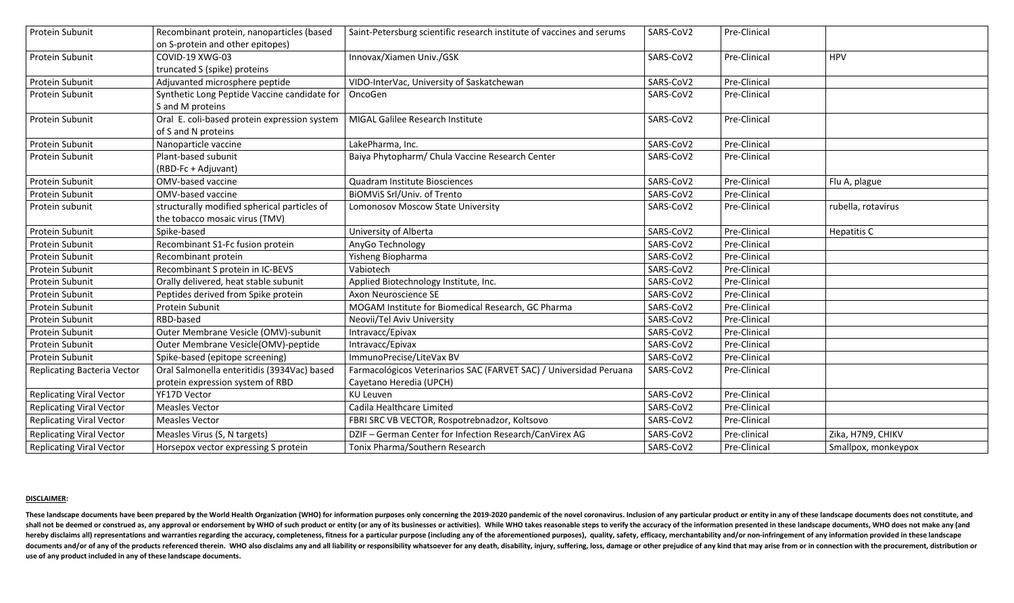| <b>Protein Subunit</b>             | Recombinant protein, nanoparticles (based    | Saint-Petersburg scientific research institute of vaccines and serums | SARS-CoV2 | Pre-Clinical |                     |
|------------------------------------|----------------------------------------------|-----------------------------------------------------------------------|-----------|--------------|---------------------|
|                                    | on S-protein and other epitopes)             |                                                                       |           |              |                     |
| Protein Subunit                    | COVID-19 XWG-03                              | Innovax/Xiamen Univ./GSK                                              | SARS-CoV2 | Pre-Clinical | <b>HPV</b>          |
|                                    | truncated S (spike) proteins                 |                                                                       |           |              |                     |
| Protein Subunit                    | Adjuvanted microsphere peptide               | VIDO-InterVac, University of Saskatchewan                             | SARS-CoV2 | Pre-Clinical |                     |
| <b>Protein Subunit</b>             | Synthetic Long Peptide Vaccine candidate for | OncoGen                                                               | SARS-CoV2 | Pre-Clinical |                     |
|                                    | S and M proteins                             |                                                                       |           |              |                     |
| Protein Subunit                    | Oral E. coli-based protein expression system | <b>MIGAL Galilee Research Institute</b>                               | SARS-CoV2 | Pre-Clinical |                     |
|                                    | of S and N proteins                          |                                                                       |           |              |                     |
| <b>Protein Subunit</b>             | Nanoparticle vaccine                         | LakePharma, Inc.                                                      | SARS-CoV2 | Pre-Clinical |                     |
| <b>Protein Subunit</b>             | Plant-based subunit                          | Baiya Phytopharm/ Chula Vaccine Research Center                       | SARS-CoV2 | Pre-Clinical |                     |
|                                    | (RBD-Fc + Adjuvant)                          |                                                                       |           |              |                     |
| Protein Subunit                    | OMV-based vaccine                            | <b>Quadram Institute Biosciences</b>                                  | SARS-CoV2 | Pre-Clinical | Flu A, plague       |
| Protein Subunit                    | <b>OMV-based vaccine</b>                     | BIOMVIS Srl/Univ. of Trento                                           | SARS-CoV2 | Pre-Clinical |                     |
| Protein subunit                    | structurally modified spherical particles of | Lomonosov Moscow State University                                     | SARS-CoV2 | Pre-Clinical | rubella, rotavirus  |
|                                    | the tobacco mosaic virus (TMV)               |                                                                       |           |              |                     |
| Protein Subunit                    | Spike-based                                  | University of Alberta                                                 | SARS-CoV2 | Pre-Clinical | Hepatitis C         |
| Protein Subunit                    | Recombinant S1-Fc fusion protein             | AnyGo Technology                                                      | SARS-CoV2 | Pre-Clinical |                     |
| <b>Protein Subunit</b>             | Recombinant protein                          | Yisheng Biopharma                                                     | SARS-CoV2 | Pre-Clinical |                     |
| <b>Protein Subunit</b>             | Recombinant S protein in IC-BEVS             | Vabiotech                                                             | SARS-CoV2 | Pre-Clinical |                     |
| <b>Protein Subunit</b>             | Orally delivered, heat stable subunit        | Applied Biotechnology Institute, Inc.                                 | SARS-CoV2 | Pre-Clinical |                     |
| Protein Subunit                    | Peptides derived from Spike protein          | Axon Neuroscience SE                                                  | SARS-CoV2 | Pre-Clinical |                     |
| Protein Subunit                    | <b>Protein Subunit</b>                       | MOGAM Institute for Biomedical Research, GC Pharma                    | SARS-CoV2 | Pre-Clinical |                     |
| Protein Subunit                    | RBD-based                                    | Neovii/Tel Aviv University                                            | SARS-CoV2 | Pre-Clinical |                     |
| Protein Subunit                    | Outer Membrane Vesicle (OMV)-subunit         | Intravacc/Epivax                                                      | SARS-CoV2 | Pre-Clinical |                     |
| Protein Subunit                    | Outer Membrane Vesicle(OMV)-peptide          | Intravacc/Epivax                                                      | SARS-CoV2 | Pre-Clinical |                     |
| Protein Subunit                    | Spike-based (epitope screening)              | ImmunoPrecise/LiteVax BV                                              | SARS-CoV2 | Pre-Clinical |                     |
| <b>Replicating Bacteria Vector</b> | Oral Salmonella enteritidis (3934Vac) based  | Farmacológicos Veterinarios SAC (FARVET SAC) / Universidad Peruana    | SARS-CoV2 | Pre-Clinical |                     |
|                                    | protein expression system of RBD             | Cayetano Heredia (UPCH)                                               |           |              |                     |
| <b>Replicating Viral Vector</b>    | YF17D Vector                                 | <b>KU Leuven</b>                                                      | SARS-CoV2 | Pre-Clinical |                     |
| <b>Replicating Viral Vector</b>    | <b>Measles Vector</b>                        | Cadila Healthcare Limited                                             | SARS-CoV2 | Pre-Clinical |                     |
| <b>Replicating Viral Vector</b>    | <b>Measles Vector</b>                        | FBRI SRC VB VECTOR, Rospotrebnadzor, Koltsovo                         | SARS-CoV2 | Pre-Clinical |                     |
| <b>Replicating Viral Vector</b>    | Measles Virus (S, N targets)                 | DZIF - German Center for Infection Research/CanVirex AG               | SARS-CoV2 | Pre-clinical | Zika, H7N9, CHIKV   |
| <b>Replicating Viral Vector</b>    | Horsepox vector expressing S protein         | Tonix Pharma/Southern Research                                        | SARS-CoV2 | Pre-Clinical | Smallpox, monkeypox |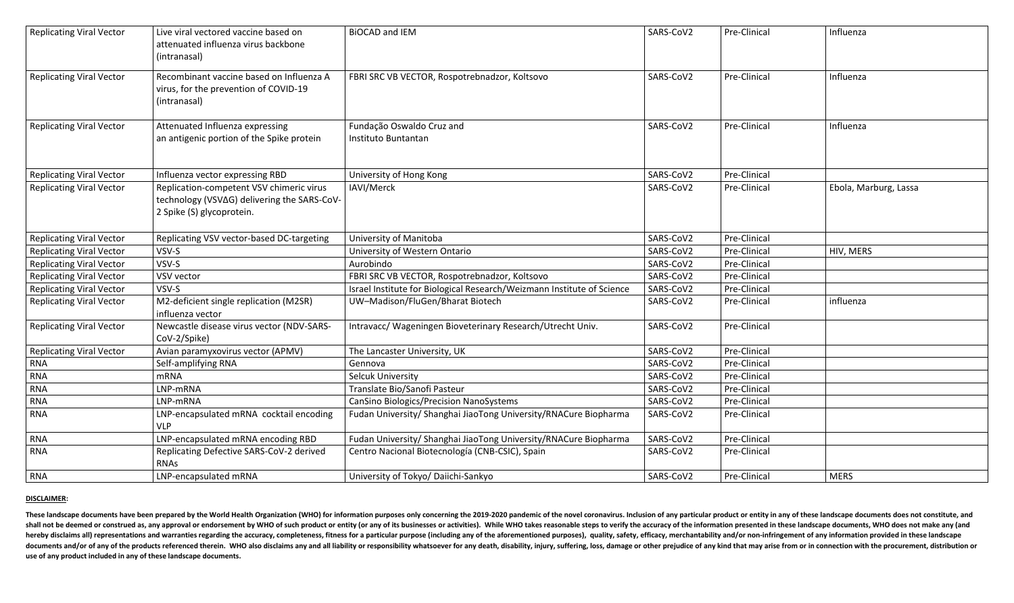| <b>Replicating Viral Vector</b> | Live viral vectored vaccine based on<br>attenuated influenza virus backbone<br>(intranasal)                          | <b>BIOCAD and IEM</b>                                                  | SARS-CoV2 | Pre-Clinical | Influenza             |
|---------------------------------|----------------------------------------------------------------------------------------------------------------------|------------------------------------------------------------------------|-----------|--------------|-----------------------|
| <b>Replicating Viral Vector</b> | Recombinant vaccine based on Influenza A<br>virus, for the prevention of COVID-19<br>(intranasal)                    | FBRI SRC VB VECTOR, Rospotrebnadzor, Koltsovo                          | SARS-CoV2 | Pre-Clinical | Influenza             |
| <b>Replicating Viral Vector</b> | Attenuated Influenza expressing<br>an antigenic portion of the Spike protein                                         | Fundação Oswaldo Cruz and<br>Instituto Buntantan                       | SARS-CoV2 | Pre-Clinical | Influenza             |
| <b>Replicating Viral Vector</b> | Influenza vector expressing RBD                                                                                      | University of Hong Kong                                                | SARS-CoV2 | Pre-Clinical |                       |
| <b>Replicating Viral Vector</b> | Replication-competent VSV chimeric virus<br>technology (VSV∆G) delivering the SARS-CoV-<br>2 Spike (S) glycoprotein. | IAVI/Merck                                                             | SARS-CoV2 | Pre-Clinical | Ebola, Marburg, Lassa |
| <b>Replicating Viral Vector</b> | Replicating VSV vector-based DC-targeting                                                                            | University of Manitoba                                                 | SARS-CoV2 | Pre-Clinical |                       |
| <b>Replicating Viral Vector</b> | VSV-S                                                                                                                | University of Western Ontario                                          | SARS-CoV2 | Pre-Clinical | HIV, MERS             |
| <b>Replicating Viral Vector</b> | VSV-S                                                                                                                | Aurobindo                                                              | SARS-CoV2 | Pre-Clinical |                       |
| <b>Replicating Viral Vector</b> | <b>VSV vector</b>                                                                                                    | FBRI SRC VB VECTOR, Rospotrebnadzor, Koltsovo                          | SARS-CoV2 | Pre-Clinical |                       |
| <b>Replicating Viral Vector</b> | VSV-S                                                                                                                | Israel Institute for Biological Research/Weizmann Institute of Science | SARS-CoV2 | Pre-Clinical |                       |
| <b>Replicating Viral Vector</b> | M2-deficient single replication (M2SR)<br>influenza vector                                                           | UW-Madison/FluGen/Bharat Biotech                                       | SARS-CoV2 | Pre-Clinical | influenza             |
| <b>Replicating Viral Vector</b> | Newcastle disease virus vector (NDV-SARS-<br>CoV-2/Spike)                                                            | Intravacc/ Wageningen Bioveterinary Research/Utrecht Univ.             | SARS-CoV2 | Pre-Clinical |                       |
| <b>Replicating Viral Vector</b> | Avian paramyxovirus vector (APMV)                                                                                    | The Lancaster University, UK                                           | SARS-CoV2 | Pre-Clinical |                       |
| <b>RNA</b>                      | Self-amplifying RNA                                                                                                  | Gennova                                                                | SARS-CoV2 | Pre-Clinical |                       |
| <b>RNA</b>                      | <b>mRNA</b>                                                                                                          | <b>Selcuk University</b>                                               | SARS-CoV2 | Pre-Clinical |                       |
| <b>RNA</b>                      | LNP-mRNA                                                                                                             | Translate Bio/Sanofi Pasteur                                           | SARS-CoV2 | Pre-Clinical |                       |
| <b>RNA</b>                      | LNP-mRNA                                                                                                             | <b>CanSino Biologics/Precision NanoSystems</b>                         | SARS-CoV2 | Pre-Clinical |                       |
| <b>RNA</b>                      | LNP-encapsulated mRNA cocktail encoding<br><b>VLP</b>                                                                | Fudan University/ Shanghai JiaoTong University/RNACure Biopharma       | SARS-CoV2 | Pre-Clinical |                       |
| <b>RNA</b>                      | LNP-encapsulated mRNA encoding RBD                                                                                   | Fudan University/ Shanghai JiaoTong University/RNACure Biopharma       | SARS-CoV2 | Pre-Clinical |                       |
| <b>RNA</b>                      | Replicating Defective SARS-CoV-2 derived<br><b>RNAS</b>                                                              | Centro Nacional Biotecnología (CNB-CSIC), Spain                        | SARS-CoV2 | Pre-Clinical |                       |
| <b>RNA</b>                      | LNP-encapsulated mRNA                                                                                                | University of Tokyo/ Daiichi-Sankyo                                    | SARS-CoV2 | Pre-Clinical | <b>MERS</b>           |